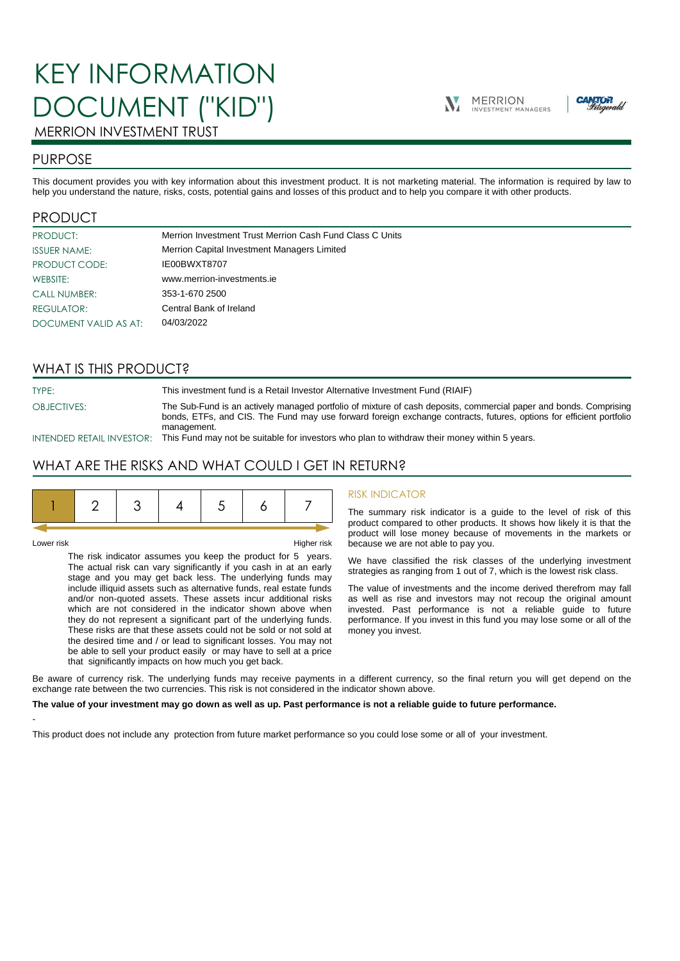# KEY INFORMATION DOCUMENT ("KID")





## MERRION INVESTMENT TRUST

## PURPOSE

This document provides you with key information about this investment product. It is not marketing material. The information is required by law to help you understand the nature, risks, costs, potential gains and losses of this product and to help you compare it with other products.

## PRODUCT

| PRODUCT:              | Merrion Investment Trust Merrion Cash Fund Class C Units |
|-----------------------|----------------------------------------------------------|
| <b>ISSUER NAME:</b>   | Merrion Capital Investment Managers Limited              |
| PRODUCT CODE:         | IE00BWXT8707                                             |
| WEBSITE:              | www.merrion-investments.ie                               |
| <b>CALL NUMBER:</b>   | 353-1-670 2500                                           |
| <b>REGULATOR:</b>     | Central Bank of Ireland                                  |
| DOCUMENT VALID AS AT: | 04/03/2022                                               |

## WHAT IS THIS PRODUCT?

TYPE: This investment fund is a Retail Investor Alternative Investment Fund (RIAIF) OBJECTIVES: The Sub-Fund is an actively managed portfolio of mixture of cash deposits, commercial paper and bonds. Comprising bonds, ETFs, and CIS. The Fund may use forward foreign exchange contracts, futures, options for efficient portfolio management.

INTENDED RETAIL INVESTOR: This Fund may not be suitable for investors who plan to withdraw their money within 5 years.

## WHAT ARE THE RISKS AND WHAT COULD I GET IN RETURN?

-

Lower risk Higher risk

The risk indicator assumes you keep the product for 5 years. The actual risk can vary significantly if you cash in at an early stage and you may get back less. The underlying funds may include illiquid assets such as alternative funds, real estate funds and/or non-quoted assets. These assets incur additional risks which are not considered in the indicator shown above when they do not represent a significant part of the underlying funds. These risks are that these assets could not be sold or not sold at the desired time and / or lead to significant losses. You may not be able to sell your product easily or may have to sell at a price that significantly impacts on how much you get back.

#### RISK INDICATOR

The summary risk indicator is a guide to the level of risk of this product compared to other products. It shows how likely it is that the product will lose money because of movements in the markets or because we are not able to pay you.

We have classified the risk classes of the underlying investment strategies as ranging from 1 out of 7, which is the lowest risk class.

The value of investments and the income derived therefrom may fall as well as rise and investors may not recoup the original amount invested. Past performance is not a reliable guide to future performance. If you invest in this fund you may lose some or all of the money you invest.

Be aware of currency risk. The underlying funds may receive payments in a different currency, so the final return you will get depend on the exchange rate between the two currencies. This risk is not considered in the indicator shown above.

#### **The value of your investment may go down as well as up. Past performance is not a reliable guide to future performance.**

This product does not include any protection from future market performance so you could lose some or all of your investment.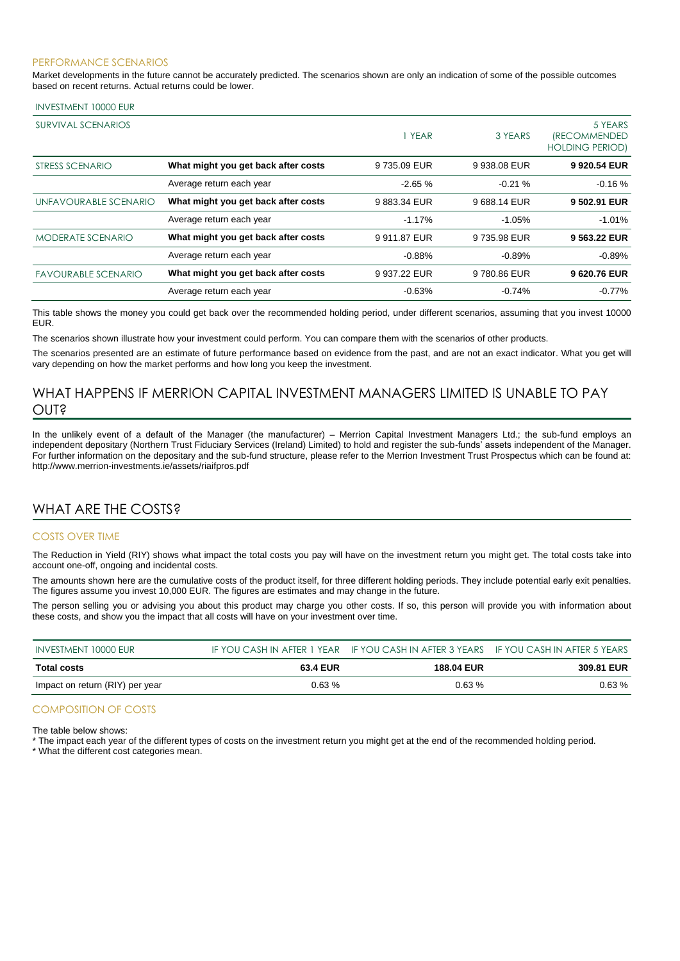#### PERFORMANCE SCENARIOS

Market developments in the future cannot be accurately predicted. The scenarios shown are only an indication of some of the possible outcomes based on recent returns. Actual returns could be lower.

#### INVESTMENT 10000 EUR

| <b>SURVIVAL SCENARIOS</b>  |                                     | 1 YEAR       | 3 YEARS      | 5 YEARS<br><i><b>(RECOMMENDED</b></i><br><b>HOLDING PERIOD)</b> |
|----------------------------|-------------------------------------|--------------|--------------|-----------------------------------------------------------------|
| STRESS SCENARIO            | What might you get back after costs | 9735.09 EUR  | 9 938,08 EUR | 9 920.54 EUR                                                    |
|                            | Average return each year            | $-2.65%$     | $-0.21%$     | $-0.16%$                                                        |
| UNFAVOURABLE SCENARIO      | What might you get back after costs | 9883.34 EUR  | 9688.14 EUR  | 9 502.91 EUR                                                    |
|                            | Average return each year            | $-1.17%$     | $-1.05%$     | $-1.01%$                                                        |
| <b>MODERATE SCENARIO</b>   | What might you get back after costs | 9 911.87 EUR | 9 735.98 EUR | 9 563.22 EUR                                                    |
|                            | Average return each year            | $-0.88%$     | $-0.89%$     | $-0.89%$                                                        |
| <b>FAVOURABLE SCENARIO</b> | What might you get back after costs | 9 937.22 EUR | 9780.86 EUR  | 9620.76 EUR                                                     |
|                            | Average return each year            | $-0.63%$     | $-0.74%$     | $-0.77%$                                                        |

This table shows the money you could get back over the recommended holding period, under different scenarios, assuming that you invest 10000 EUR.

The scenarios shown illustrate how your investment could perform. You can compare them with the scenarios of other products.

The scenarios presented are an estimate of future performance based on evidence from the past, and are not an exact indicator. What you get will vary depending on how the market performs and how long you keep the investment.

## WHAT HAPPENS IF MERRION CAPITAL INVESTMENT MANAGERS LIMITED IS UNABLE TO PAY OUT?

In the unlikely event of a default of the Manager (the manufacturer) – Merrion Capital Investment Managers Ltd.; the sub-fund employs an independent depositary (Northern Trust Fiduciary Services (Ireland) Limited) to hold and register the sub-funds' assets independent of the Manager. For further information on the depositary and the sub-fund structure, please refer to the Merrion Investment Trust Prospectus which can be found at: http://www.merrion-investments.ie/assets/riaifpros.pdf

## WHAT ARE THE COSTS?

#### COSTS OVER TIME

The Reduction in Yield (RIY) shows what impact the total costs you pay will have on the investment return you might get. The total costs take into account one-off, ongoing and incidental costs.

The amounts shown here are the cumulative costs of the product itself, for three different holding periods. They include potential early exit penalties. The figures assume you invest 10,000 EUR. The figures are estimates and may change in the future.

The person selling you or advising you about this product may charge you other costs. If so, this person will provide you with information about these costs, and show you the impact that all costs will have on your investment over time.

| INVESTMENT 10000 EUR            |          | IF YOU CASH IN AFTER 1 YEAR IF YOU CASH IN AFTER 3 YEARS IF YOU CASH IN AFTER 5 YEARS |            |
|---------------------------------|----------|---------------------------------------------------------------------------------------|------------|
| Total costs                     | 63.4 EUR | <b>188.04 EUR</b>                                                                     | 309.81 EUR |
| Impact on return (RIY) per year | $0.63\%$ | 0.63%                                                                                 | $0.63\%$   |

#### COMPOSITION OF COSTS

The table below shows:

\* The impact each year of the different types of costs on the investment return you might get at the end of the recommended holding period.

\* What the different cost categories mean.